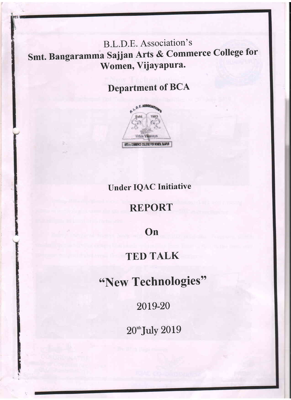B.L.D.E. Association's Smt. Bangaramma Sajjan Arts & Commerce College for Women, Vijayapura.

# **Department of BCA**



## **Under IQAC Initiative**

### **REPORT**

On

# **TED TALK**

"New Technologies"

2019-20

20<sup>th</sup>July 2019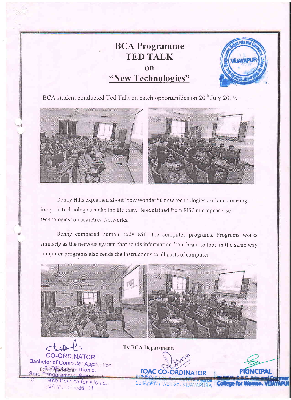#### **BCA Programme TED TALK on** "New Technologies"



BCA student conducted Ted Talk on catch opportunities on  $20<sup>th</sup>$  July 2019.



Denny Hills explained about 'how wonderful new technologies are' and amazing jumps in technologies make the life easy. He explained from RISC microprocessor technologies to Local Area Networks.

Denny compared human body with the computer programs. Programs works similarly as the nervous system that sends information from brain to foot, in the same way computer programs also sends the instructions to all parts of computer



**CO-ORDINATOR** Bachelor of Computer Applic Hien BCALDE Amenciation's ndaram arce Collage for Wome... **JUA APUN-686101.** 

By BCA Department.



College for Women. VIJAYAPURA **n. VIJAYAPUI**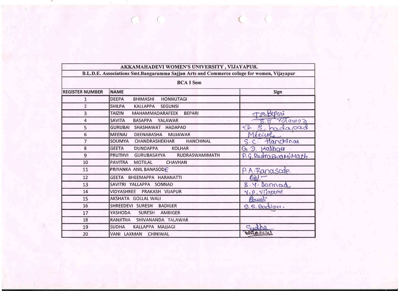|                                                                                                                | AKKAMAHADEVI WOMEN'S UNIVERSITY, VIJAYAPUR.                   |                            |  |  |
|----------------------------------------------------------------------------------------------------------------|---------------------------------------------------------------|----------------------------|--|--|
| B.L.D.E. Associations Smt.Bangaramma Sajjan Arts and Commerce college for women, Vijayapur<br><b>BCA I Sem</b> |                                                               |                            |  |  |
|                                                                                                                |                                                               |                            |  |  |
| 1                                                                                                              | <b>DEEPA</b><br><b>HONNUTAGI</b><br><b>BHIMASHI</b>           |                            |  |  |
| $\overline{2}$                                                                                                 | <b>SHILPA</b><br><b>KALLAPPA</b><br><b>SEGUNSI</b>            |                            |  |  |
| 3                                                                                                              | <b>TAIZIN</b><br>MAHAMMADARAFEEK<br><b>BEPARI</b>             | m Bepari                   |  |  |
| 4                                                                                                              | <b>SAVITA</b><br><b>BASAPPA</b><br>YALAWAR                    | S.B. Yolowoo               |  |  |
| 5                                                                                                              | GURUBAI SHASHAWAT HADAPAD                                     | $\sqrt{G}$ .<br>S. hadapad |  |  |
| 6                                                                                                              | <b>MEENAJ</b><br><b>DEENABASHA</b><br><b>MUJAWAR</b>          | Mécriefe                   |  |  |
| $\overline{7}$                                                                                                 | SOUMYA<br>CHANDRASHEKHAR<br><b>HANCHINAL</b>                  | S.C. Hanchinal             |  |  |
| 8                                                                                                              | <b>GEETA</b><br><b>DUNDAPPA</b><br><b>KOLHAR</b>              | $G. 2.$ $140$ $hca$        |  |  |
| 9                                                                                                              | <b>PRUTHVI</b><br><b>GURUBASAYYA</b><br><b>RUDRASWAMIMATH</b> | P.G. RudraswaniMath        |  |  |
| 10                                                                                                             | PAVITRA MOTILAL<br><b>CHAVHAN</b>                             |                            |  |  |
| 11                                                                                                             | PRIYANKA ANIL BANASODE                                        | P.A. Ranasode.             |  |  |
| 12                                                                                                             | GEETA BHEEMAPPA HARANATTI                                     | $eu$ -                     |  |  |
| 13                                                                                                             | SAVITRI YALLAPPA SONNAD                                       | S. 4. Sannad               |  |  |
| 14                                                                                                             | VIDYASHREE PRAKASH VIJAPUR                                    | V. P. Vijapune             |  |  |
| 15                                                                                                             | AKSHATA GOLLAL WALI                                           | Arust                      |  |  |
| 16                                                                                                             | SHREEDEVI SURESH<br><b>BADIGER</b>                            | S.S. Badiqui.              |  |  |
| 17                                                                                                             | YASHODA<br><b>SURESH</b><br><b>AMBIGER</b>                    |                            |  |  |
| 18                                                                                                             | RANJITHA SHIVANANDA TALAWAR                                   |                            |  |  |
| 19                                                                                                             | <b>SUDHA</b><br>KALLAPPA MAJJAGI                              | Godha                      |  |  |
| 20                                                                                                             | VANI LAXMAN CHINIWAL                                          | <b>MARQUUCHU</b>           |  |  |

PROTECTIVES

3 39